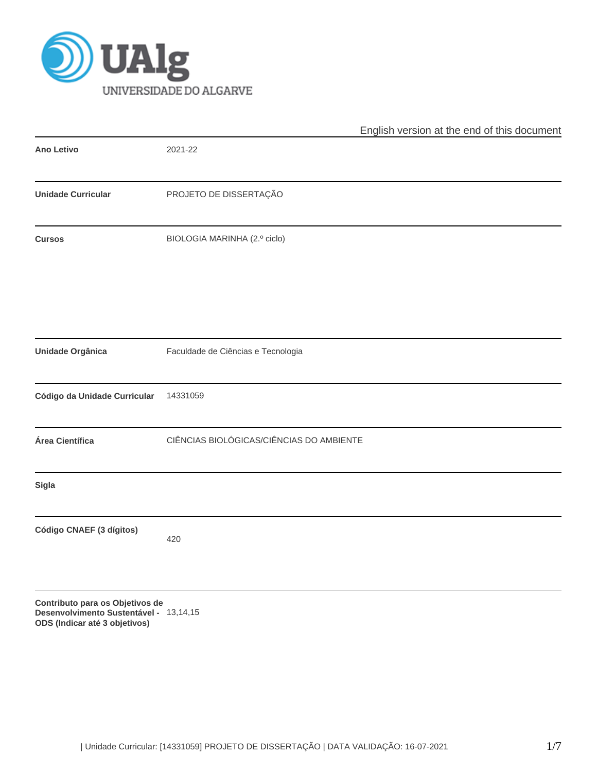

|                                 | English version at the end of this document |  |  |  |  |  |
|---------------------------------|---------------------------------------------|--|--|--|--|--|
| Ano Letivo                      | 2021-22                                     |  |  |  |  |  |
| <b>Unidade Curricular</b>       | PROJETO DE DISSERTAÇÃO                      |  |  |  |  |  |
| <b>Cursos</b>                   | BIOLOGIA MARINHA (2.º ciclo)                |  |  |  |  |  |
|                                 |                                             |  |  |  |  |  |
| Unidade Orgânica                | Faculdade de Ciências e Tecnologia          |  |  |  |  |  |
| Código da Unidade Curricular    | 14331059                                    |  |  |  |  |  |
| Área Científica                 | CIÊNCIAS BIOLÓGICAS/CIÊNCIAS DO AMBIENTE    |  |  |  |  |  |
| <b>Sigla</b>                    |                                             |  |  |  |  |  |
| Código CNAEF (3 dígitos)        | 420                                         |  |  |  |  |  |
| Contribute none on Objetives de |                                             |  |  |  |  |  |

**Contributo para os Objetivos de Desenvolvimento Sustentável -** 13,14,15**ODS (Indicar até 3 objetivos)**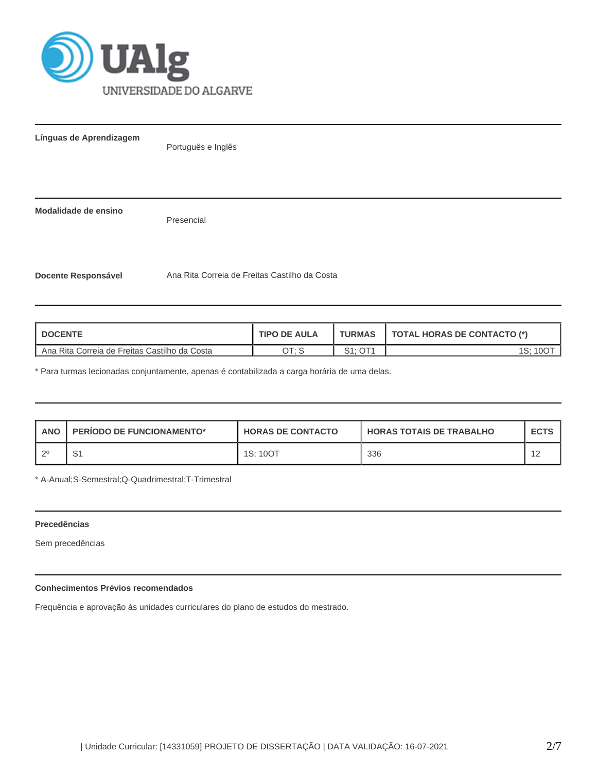

**Línguas de Aprendizagem**

Português e Inglês

**Modalidade de ensino**

Presencial

**Docente Responsável** Ana Rita Correia de Freitas Castilho da Costa

| <b>DOCENTE</b>                                | <b>TIPO DE AULA</b> | <b>TURMAS</b>               | TOTAL HORAS DE CONTACTO (*) |
|-----------------------------------------------|---------------------|-----------------------------|-----------------------------|
| Ana Rita Correia de Freitas Castilho da Costa | OT: S               | OT <sub>1</sub><br>C1.<br>ັ |                             |

\* Para turmas lecionadas conjuntamente, apenas é contabilizada a carga horária de uma delas.

| <b>ANO</b> | <b>PERIODO DE FUNCIONAMENTO*</b> | <b>HORAS DE CONTACTO</b> | <b>I HORAS TOTAIS DE TRABALHO</b> | <b>ECTS</b> |
|------------|----------------------------------|--------------------------|-----------------------------------|-------------|
| റ0         | ا ب                              | 1S: 10OT                 | 336                               |             |

\* A-Anual;S-Semestral;Q-Quadrimestral;T-Trimestral

# **Precedências**

Sem precedências

# **Conhecimentos Prévios recomendados**

Frequência e aprovação às unidades curriculares do plano de estudos do mestrado.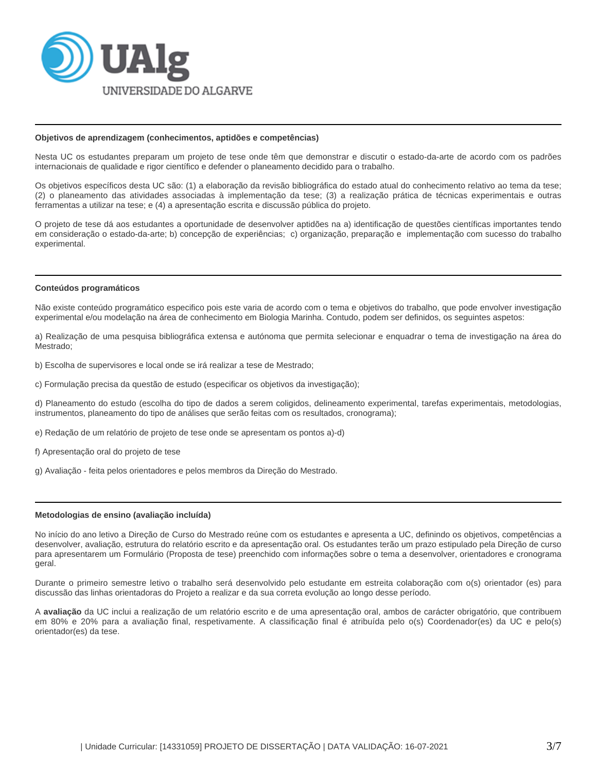

#### **Objetivos de aprendizagem (conhecimentos, aptidões e competências)**

Nesta UC os estudantes preparam um projeto de tese onde têm que demonstrar e discutir o estado-da-arte de acordo com os padrões internacionais de qualidade e rigor científico e defender o planeamento decidido para o trabalho.

Os objetivos específicos desta UC são: (1) a elaboração da revisão bibliográfica do estado atual do conhecimento relativo ao tema da tese; (2) o planeamento das atividades associadas à implementação da tese; (3) a realização prática de técnicas experimentais e outras ferramentas a utilizar na tese; e (4) a apresentação escrita e discussão pública do projeto.

O projeto de tese dá aos estudantes a oportunidade de desenvolver aptidões na a) identificação de questões científicas importantes tendo em consideração o estado-da-arte; b) concepção de experiências; c) organização, preparação e implementação com sucesso do trabalho experimental.

#### **Conteúdos programáticos**

Não existe conteúdo programático especifico pois este varia de acordo com o tema e objetivos do trabalho, que pode envolver investigação experimental e/ou modelação na área de conhecimento em Biologia Marinha. Contudo, podem ser definidos, os seguintes aspetos:

a) Realização de uma pesquisa bibliográfica extensa e autónoma que permita selecionar e enquadrar o tema de investigação na área do Mestrado;

b) Escolha de supervisores e local onde se irá realizar a tese de Mestrado;

c) Formulação precisa da questão de estudo (especificar os objetivos da investigação);

d) Planeamento do estudo (escolha do tipo de dados a serem coligidos, delineamento experimental, tarefas experimentais, metodologias, instrumentos, planeamento do tipo de análises que serão feitas com os resultados, cronograma);

e) Redação de um relatório de projeto de tese onde se apresentam os pontos a)-d)

- f) Apresentação oral do projeto de tese
- g) Avaliação feita pelos orientadores e pelos membros da Direção do Mestrado.

## **Metodologias de ensino (avaliação incluída)**

No início do ano letivo a Direção de Curso do Mestrado reúne com os estudantes e apresenta a UC, definindo os objetivos, competências a desenvolver, avaliação, estrutura do relatório escrito e da apresentação oral. Os estudantes terão um prazo estipulado pela Direção de curso para apresentarem um Formulário (Proposta de tese) preenchido com informações sobre o tema a desenvolver, orientadores e cronograma geral.

Durante o primeiro semestre letivo o trabalho será desenvolvido pelo estudante em estreita colaboração com o(s) orientador (es) para discussão das linhas orientadoras do Projeto a realizar e da sua correta evolução ao longo desse período.

A **avaliação** da UC inclui a realização de um relatório escrito e de uma apresentação oral, ambos de carácter obrigatório, que contribuem em 80% e 20% para a avaliação final, respetivamente. A classificação final é atribuída pelo o(s) Coordenador(es) da UC e pelo(s) orientador(es) da tese.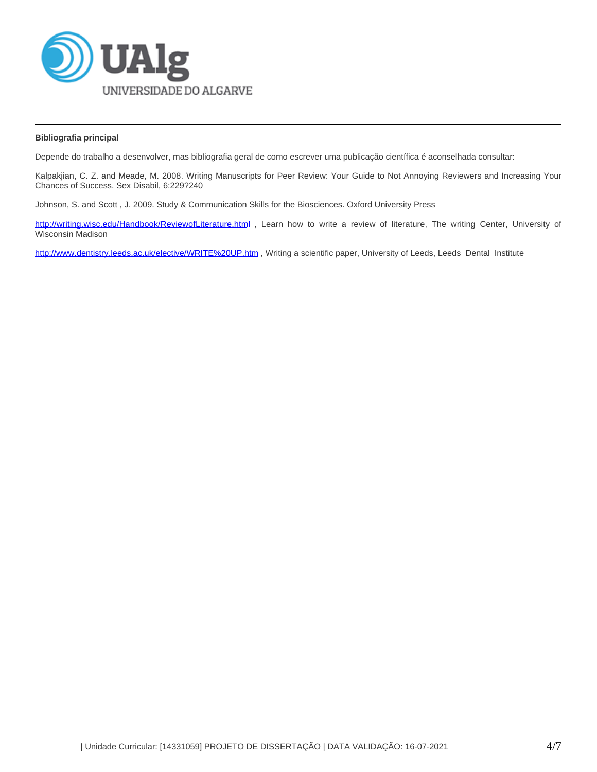

## **Bibliografia principal**

Depende do trabalho a desenvolver, mas bibliografia geral de como escrever uma publicação científica é aconselhada consultar:

Kalpakjian, C. Z. and Meade, M. 2008. Writing Manuscripts for Peer Review: Your Guide to Not Annoying Reviewers and Increasing Your Chances of Success. Sex Disabil, 6:229?240

Johnson, S. and Scott , J. 2009. Study & Communication Skills for the Biosciences. Oxford University Press

[http://writing.wisc.edu/Handbook/ReviewofLiterature.htm](http://writing.wisc.edu/Handbook/ReviewofLiterature.html)l, Learn how to write a review of literature, The writing Center, University of Wisconsin Madison

<http://www.dentistry.leeds.ac.uk/elective/WRITE%20UP.htm> , Writing a scientific paper, University of Leeds, Leeds Dental Institute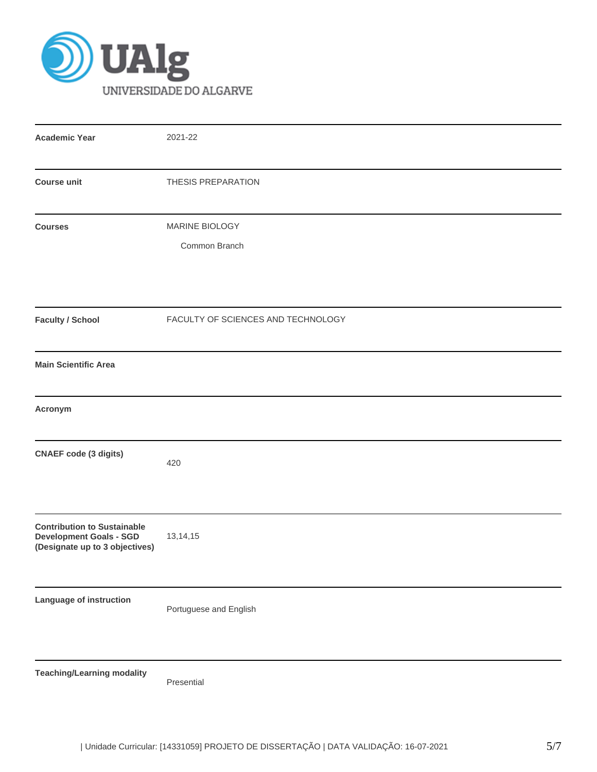

| <b>Academic Year</b>                                                                                   | 2021-22                            |  |  |  |  |  |
|--------------------------------------------------------------------------------------------------------|------------------------------------|--|--|--|--|--|
| <b>Course unit</b>                                                                                     | THESIS PREPARATION                 |  |  |  |  |  |
| <b>Courses</b>                                                                                         | MARINE BIOLOGY                     |  |  |  |  |  |
|                                                                                                        | Common Branch                      |  |  |  |  |  |
| <b>Faculty / School</b>                                                                                | FACULTY OF SCIENCES AND TECHNOLOGY |  |  |  |  |  |
| <b>Main Scientific Area</b>                                                                            |                                    |  |  |  |  |  |
| Acronym                                                                                                |                                    |  |  |  |  |  |
| <b>CNAEF</b> code (3 digits)                                                                           | 420                                |  |  |  |  |  |
| <b>Contribution to Sustainable</b><br><b>Development Goals - SGD</b><br>(Designate up to 3 objectives) | 13,14,15                           |  |  |  |  |  |
| Language of instruction                                                                                | Portuguese and English             |  |  |  |  |  |
| <b>Teaching/Learning modality</b>                                                                      | Presential                         |  |  |  |  |  |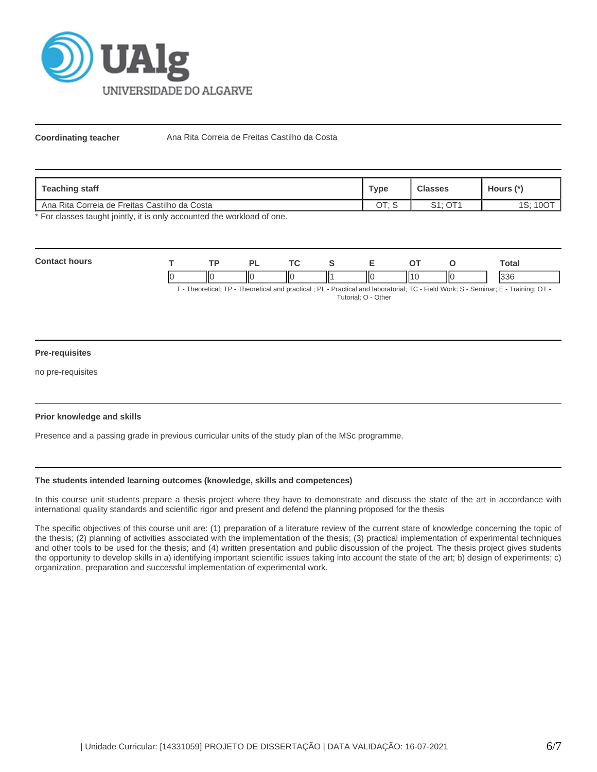

Coordinating teacher **Ana Rita Correia de Freitas Castilho da Costa** 

| Teaching staff                                  | <b>Type</b> | <b>Classes</b> | Hours (*)  |
|-------------------------------------------------|-------------|----------------|------------|
| I Ana Rita Correia de Freitas Castilho da Costa | א ∙דר       | $S1:$ OT1      | 10C<br>ت ۱ |

\* For classes taught jointly, it is only accounted the workload of one.

| Con |    | $\overline{\mathbf{r}}$ |    | <u>те</u> |    |    |    | otal   |
|-----|----|-------------------------|----|-----------|----|----|----|--------|
|     | ıc |                         | ШΟ | Ш         | ШC | ., | ΠС | $\sim$ |

T - Theoretical; TP - Theoretical and practical ; PL - Practical and laboratorial; TC - Field Work; S - Seminar; E - Training; OT - Tutorial; O - Other

## **Pre-requisites**

no pre-requisites

## **Prior knowledge and skills**

Presence and a passing grade in previous curricular units of the study plan of the MSc programme.

## **The students intended learning outcomes (knowledge, skills and competences)**

In this course unit students prepare a thesis project where they have to demonstrate and discuss the state of the art in accordance with international quality standards and scientific rigor and present and defend the planning proposed for the thesis

The specific objectives of this course unit are: (1) preparation of a literature review of the current state of knowledge concerning the topic of the thesis; (2) planning of activities associated with the implementation of the thesis; (3) practical implementation of experimental techniques and other tools to be used for the thesis; and (4) written presentation and public discussion of the project. The thesis project gives students the opportunity to develop skills in a) identifying important scientific issues taking into account the state of the art; b) design of experiments; c) organization, preparation and successful implementation of experimental work.